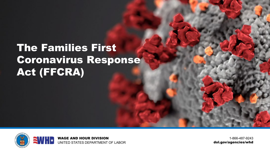# The Families First Coronavirus Response Act (FFCRA)



1-866-487-9243 dol.gov/agencies/whd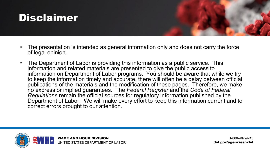

- The presentation is intended as general information only and does not carry the force of legal opinion.
- The Department of Labor is providing this information as a public service. This information and related materials are presented to give the public access to information on Department of Labor programs. You should be aware that while we try to keep the information timely and accurate, there will often be a delay between official publications of the materials and the modification of these pages. Therefore, we make no express or implied guarantees. The *Federal Register* and the *Code of Federal Regulations* remain the official sources for regulatory information published by the Department of Labor. We will make every effort to keep this information current and to correct errors brought to our attention.



1-866-487-9243 dol.gov/agencies/whd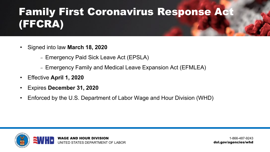# Family First Coronavirus Response Act (FFCRA)

- Signed into law **March 18, 2020**
	- Emergency Paid Sick Leave Act (EPSLA)
	- Emergency Family and Medical Leave Expansion Act (EFMLEA)
- Effective **April 1, 2020**
- Expires **December 31, 2020**
- Enforced by the U.S. Department of Labor Wage and Hour Division (WHD)

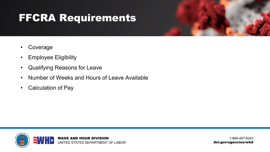## FFCRA Requirements

- Coverage
- Employee Eligibility
- Qualifying Reasons for Leave
- Number of Weeks and Hours of Leave Available
- Calculation of Pay

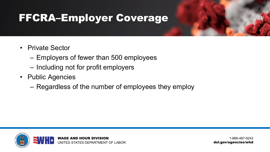## FFCRA–Employer Coverage

- Private Sector
	- Employers of fewer than 500 employees
	- Including not for profit employers
- Public Agencies
	- Regardless of the number of employees they employ

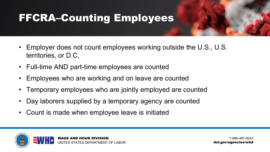# FFCRA–Counting Employees

- Employer does not count employees working outside the U.S., U.S. territories, or D.C.
- Full-time AND part-time employees are counted
- Employees who are working and on leave are counted
- Temporary employees who are jointly employed are counted
- Day laborers supplied by a temporary agency are counted
- Count is made when employee leave is initiated

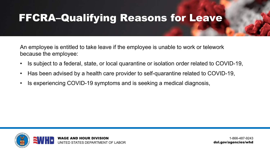## FFCRA–Qualifying Reasons for Leave

An employee is entitled to take leave if the employee is unable to work or telework because the employee:

- Is subject to a federal, state, or local quarantine or isolation order related to COVID-19,
- Has been advised by a health care provider to self-quarantine related to COVID-19,
- Is experiencing COVID-19 symptoms and is seeking a medical diagnosis,

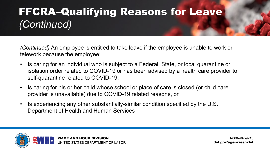# FFCRA–Qualifying Reasons for Leave *(Continued)*

*(Continued)* An employee is entitled to take leave if the employee is unable to work or telework because the employee:

- Is caring for an individual who is subject to a Federal, State, or local quarantine or isolation order related to COVID-19 or has been advised by a health care provider to self-quarantine related to COVID-19,
- Is caring for his or her child whose school or place of care is closed (or child care provider is unavailable) due to COVID-19 related reasons, or
- Is experiencing any other substantially-similar condition specified by the U.S. Department of Health and Human Services

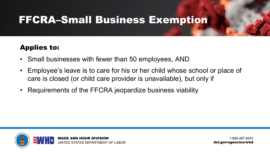### FFCRA–Small Business Exemption

### Applies to:

- Small businesses with fewer than 50 employees, AND
- Employee's leave is to care for his or her child whose school or place of care is closed (or child care provider is unavailable), but only if
- Requirements of the FFCRA jeopardize business viability

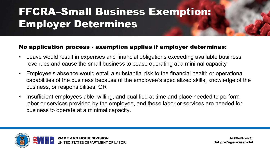# FFCRA–Small Business Exemption: Employer Determines

#### No application process - exemption applies if employer determines:

- Leave would result in expenses and financial obligations exceeding available business revenues and cause the small business to cease operating at a minimal capacity
- Employee's absence would entail a substantial risk to the financial health or operational capabilities of the business because of the employee's specialized skills, knowledge of the business, or responsibilities; OR
- Insufficient employees able, willing, and qualified at time and place needed to perform labor or services provided by the employee, and these labor or services are needed for business to operate at a minimal capacity.

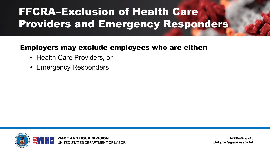# FFCRA–Exclusion of Health Care Providers and Emergency Responders

#### Employers may exclude employees who are either:

- Health Care Providers, or
- Emergency Responders

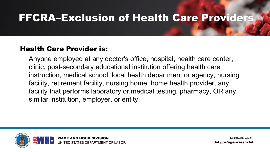### FFCRA–Exclusion of Health Care Providers

#### Health Care Provider is:

Anyone employed at any doctor's office, hospital, health care center, clinic, post-secondary educational institution offering health care instruction, medical school, local health department or agency, nursing facility, retirement facility, nursing home, home health provider, any facility that performs laboratory or medical testing, pharmacy, OR any similar institution, employer, or entity.

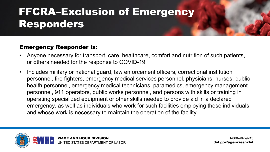# FFCRA–Exclusion of Emergency Responders

#### Emergency Responder is:

- Anyone necessary for transport, care, healthcare, comfort and nutrition of such patients, or others needed for the response to COVID-19.
- Includes military or national guard, law enforcement officers, correctional institution personnel, fire fighters, emergency medical services personnel, physicians, nurses, public health personnel, emergency medical technicians, paramedics, emergency management personnel, 911 operators, public works personnel, and persons with skills or training in operating specialized equipment or other skills needed to provide aid in a declared emergency, as well as individuals who work for such facilities employing these individuals and whose work is necessary to maintain the operation of the facility.

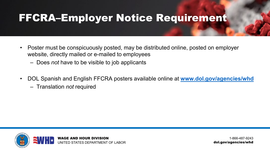### FFCRA–Employer Notice Requirement

- Poster must be conspicuously posted, may be distributed online, posted on employer website, directly mailed or e-mailed to employees
	- Does *not* have to be visible to job applicants
- DOL Spanish and English FFCRA posters available online at **[www.dol.gov/agencies/whd](http://www.dol.gov/agencies/whd)**
	- Translation *not* required

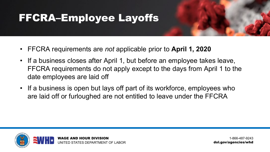## FFCRA–Employee Layoffs

- FFCRA requirements are *not* applicable prior to **April 1, 2020**
- If a business closes after April 1, but before an employee takes leave, FFCRA requirements do not apply except to the days from April 1 to the date employees are laid off
- If a business is open but lays off part of its workforce, employees who are laid off or furloughed are not entitled to leave under the FFCRA

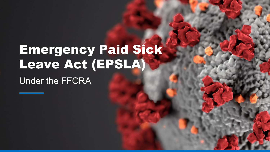# Emergency Paid Sick Leave Act (EPSLA)

Under the FFCRA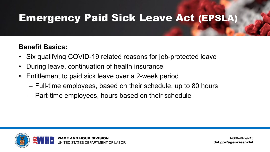### Emergency Paid Sick Leave Act (EPSLA)

#### **Benefit Basics:**

- Six qualifying COVID-19 related reasons for job-protected leave
- During leave, continuation of health insurance
- Entitlement to paid sick leave over a 2-week period
	- Full-time employees, based on their schedule, up to 80 hours
	- Part-time employees, hours based on their schedule

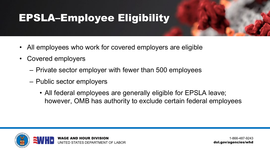# EPSLA–Employee Eligibility

- All employees who work for covered employers are eligible
- Covered employers
	- Private sector employer with fewer than 500 employees
	- Public sector employers
		- All federal employees are generally eligible for EPSLA leave; however, OMB has authority to exclude certain federal employees

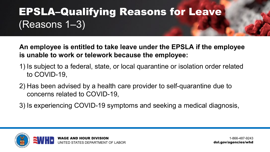# EPSLA–Qualifying Reasons for Leave (Reasons 1–3)

**An employee is entitled to take leave under the EPSLA if the employee is unable to work or telework because the employee:**

- 1) Is subject to a federal, state, or local quarantine or isolation order related to COVID-19,
- 2) Has been advised by a health care provider to self-quarantine due to concerns related to COVID-19,
- 3) Is experiencing COVID-19 symptoms and seeking a medical diagnosis,

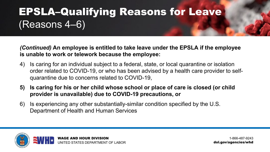# EPSLA–Qualifying Reasons for Leave (Reasons 4–6)

*(Continued)* **An employee is entitled to take leave under the EPSLA if the employee is unable to work or telework because the employee:**

- 4) Is caring for an individual subject to a federal, state, or local quarantine or isolation order related to COVID-19, or who has been advised by a health care provider to selfquarantine due to concerns related to COVID-19,
- **5) Is caring for his or her child whose school or place of care is closed (or child provider is unavailable) due to COVID-19 precautions, or**
- 6) Is experiencing any other substantially-similar condition specified by the U.S. Department of Health and Human Services

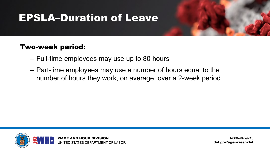### EPSLA–Duration of Leave

#### Two-week period:

- Full-time employees may use up to 80 hours
- Part-time employees may use a number of hours equal to the number of hours they work, on average, over a 2-week period

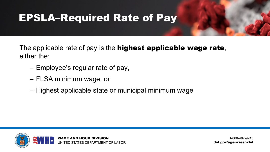### EPSLA–Required Rate of Pay

The applicable rate of pay is the **highest applicable wage rate**, either the:

- Employee's regular rate of pay,
- FLSA minimum wage, or
- Highest applicable state or municipal minimum wage

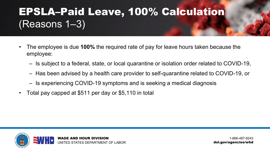# EPSLA–Paid Leave, 100% Calculation (Reasons 1–3)

- The employee is due **100%** the required rate of pay for leave hours taken because the employee:
	- Is subject to a federal, state, or local quarantine or isolation order related to COVID-19,
	- Has been advised by a health care provider to self-quarantine related to COVID-19, or
	- Is experiencing COVID-19 symptoms and is seeking a medical diagnosis
- Total pay capped at \$511 per day or \$5,110 in total

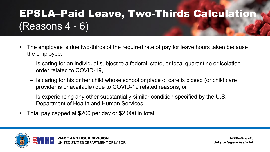# EPSLA–Paid Leave, Two-Thirds Calculation (Reasons 4 - 6)

- The employee is due two-thirds of the required rate of pay for leave hours taken because the employee:
	- Is caring for an individual subject to a federal, state, or local quarantine or isolation order related to COVID-19,
	- Is caring for his or her child whose school or place of care is closed (or child care provider is unavailable) due to COVID-19 related reasons, or
	- Is experiencing any other substantially-similar condition specified by the U.S. Department of Health and Human Services.
- Total pay capped at \$200 per day or \$2,000 in total

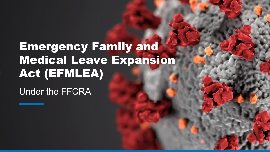# Emergency Family and Medical Leave Expansion Act (EFMLEA)

Under the FFCRA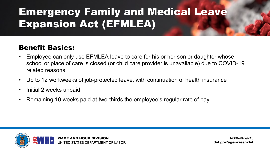# Emergency Family and Medical Leave Expansion Act (EFMLEA)

### Benefit Basics:

- Employee can only use EFMLEA leave to care for his or her son or daughter whose school or place of care is closed (or child care provider is unavailable) due to COVID-19 related reasons
- Up to 12 workweeks of job-protected leave, with continuation of health insurance
- Initial 2 weeks unpaid
- Remaining 10 weeks paid at two-thirds the employee's regular rate of pay

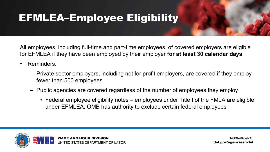## EFMLEA–Employee Eligibility

All employees, including full-time and part-time employees, of covered employers are eligible for EFMLEA if they have been employed by their employer **for at least 30 calendar days**.

- Reminders:
	- Private sector employers, including not for profit employers, are covered if they employ fewer than 500 employees
	- Public agencies are covered regardless of the number of employees they employ
		- Federal employee eligibility notes employees under Title I of the FMLA are eligible under EFMLEA; OMB has authority to exclude certain federal employees

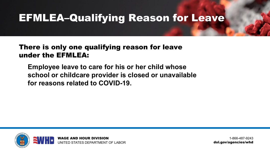### EFMLEA–Qualifying Reason for Leave

#### There is only one qualifying reason for leave under the EFMLEA:

**Employee leave to care for his or her child whose school or childcare provider is closed or unavailable for reasons related to COVID-19.**

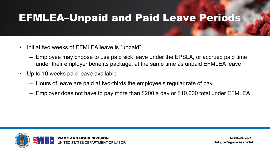### EFMLEA–Unpaid and Paid Leave Periods

- Initial two weeks of EFMLEA leave is "unpaid"
	- Employee may choose to use paid sick leave under the EPSLA, or accrued paid time under their employer benefits package, at the same time as unpaid EFMLEA leave
- Up to 10 weeks paid leave available
	- Hours of leave are paid at two-thirds the employee's regular rate of pay
	- Employer does not have to pay more than \$200 a day or \$10,000 total under EFMLEA

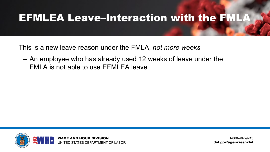### EFMLEA Leave–Interaction with the FMLA

This is a new leave reason under the FMLA, *not more weeks*

– An employee who has already used 12 weeks of leave under the FMLA is not able to use EFMLEA leave

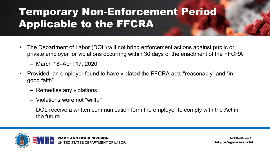# Temporary Non-Enforcement Period Applicable to the FFCRA

- The Department of Labor (DOL) will not bring enforcement actions against public or private employer for violations occurring within 30 days of the enactment of the FFCRA
	- March 18–April 17, 2020
- Provided an employer found to have violated the FFCRA acts "reasonably" and "in good faith"
	- Remedies any violations
	- Violations were not "willful"
	- DOL receive a written communication form the employer to comply with the Act in the future